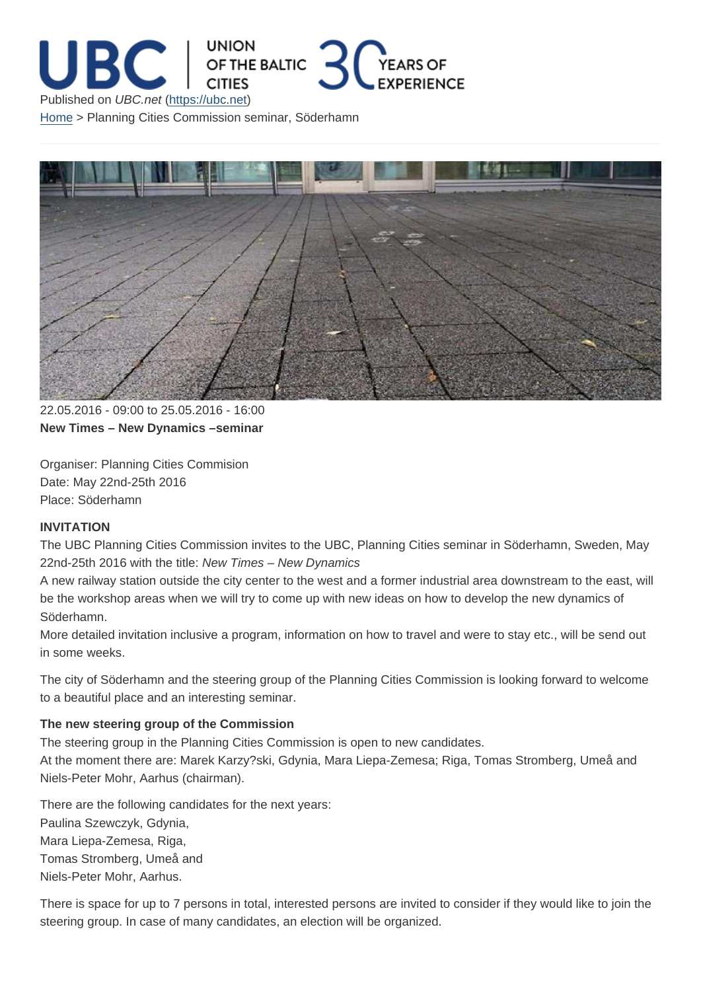22.05.2016 - 09:00 to 25.05.2016 - 16:00 New Times – New Dynamics –seminar

Organiser: Planning Cities Commision Date: May 22nd-25th 2016 Place: Söderhamn

INVITATION

The UBC Planning Cities Commission invites to the UBC, Planning Cities seminar in Söderhamn, Sweden, May 22nd-25th 2016 with the title: New Times – New Dynamics

A new railway station outside the city center to the west and a former industrial area downstream to the east, will be the workshop areas when we will try to come up with new ideas on how to develop the new dynamics of Söderhamn.

More detailed invitation inclusive a program, information on how to travel and were to stay etc., will be send out in some weeks.

The city of Söderhamn and the steering group of the Planning Cities Commission is looking forward to welcome to a beautiful place and an interesting seminar.

The new steering group of the Commission

The steering group in the Planning Cities Commission is open to new candidates.

At the moment there are: Marek Karzy?ski, Gdynia, Mara Liepa-Zemesa; Riga, Tomas Stromberg, Umeå and Niels-Peter Mohr, Aarhus (chairman).

There are the following candidates for the next years: Paulina Szewczyk, Gdynia, Mara Liepa-Zemesa, Riga, Tomas Stromberg, Umeå and Niels-Peter Mohr, Aarhus.

There is space for up to 7 persons in total, interested persons are invited to consider if they would like to join the steering group. In case of many candidates, an election will be organized.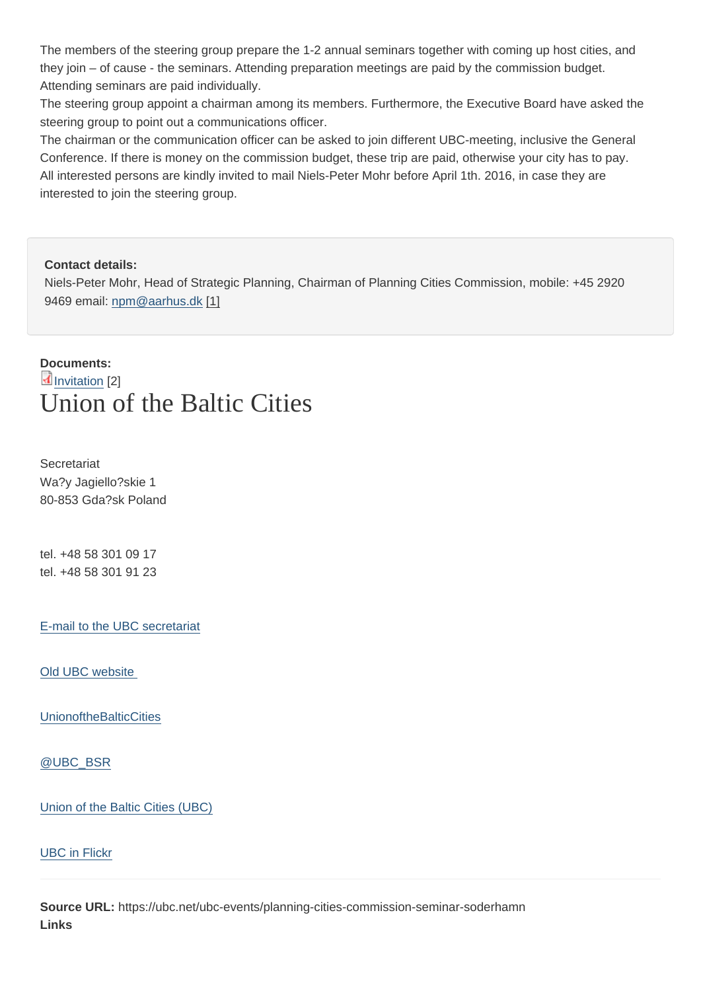they join – of cause - the seminars. Attending preparation meetings are paid by the commission budget. Attending seminars are paid individually.

The steering group appoint a chairman among its members. Furthermore, the Executive Board have asked the steering group to point out a communications officer.

The chairman or the communication officer can be asked to join different UBC-meeting, inclusive the General Conference. If there is money on the commission budget, these trip are paid, otherwise your city has to pay. All interested persons are kindly invited to mail Niels-Peter Mohr before April 1th. 2016, in case they are interested to join the steering group.

Contact details:

Niels-Peter Mohr, Head of Strategic Planning, Chairman of Planning Cities Commission, mobile: +45 2920 9469 email: npm@aarhus.dk [1]

Documents:

## Invitation [2] Union of the Baltic Cities

**Secretariat** Wa?y Jagiello?skie 1 80-853 Gda?sk Poland

tel. +48 58 301 09 17 tel. +48 58 301 91 23

E-mail to the UBC secretariat

[Old UBC website](mailto:info@ubc.net) 

[UnionoftheBalticC](http://archive.ubc.net)ities

[@UBC\\_BSR](https://www.facebook.com/UnionoftheBalticCities)

[Union of the B](https://twitter.com/UBC_BSR)altic Cities (UBC)

[UBC in Flickr](https://www.linkedin.com/company-beta/1361849/)

[Source URL:](https://www.flickr.com/photos/140292678@N08) https://ubc.net/ubc-events/planning-cities-commission-seminar-soderhamn Links